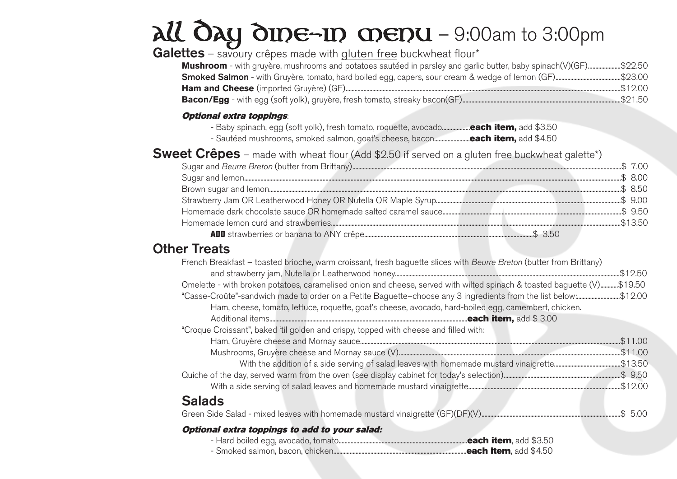## all Day dine-in menu – 9:00am to 3:00pm

Galettes - savoury crêpes made with gluten free buckwheat flour\*

| Mushroom - with gruyère, mushrooms and potatoes sautéed in parsley and garlic butter, baby spinach(V)(GF)\$22.50 |  |
|------------------------------------------------------------------------------------------------------------------|--|
|                                                                                                                  |  |
|                                                                                                                  |  |
|                                                                                                                  |  |

#### Optional extra toppings:

- Baby spinach, egg (soft yolk), fresh tomato, roquette, avocado...................**each item,** add \$3.50
- Sautéed mushrooms, smoked salmon, goat's cheese, bacon........................each item, add \$4.50

**Sweet Crêpes** – made with wheat flour (Add \$2.50 if served on a gluten free buckwheat galette<sup>\*</sup>)

### Other Treats

| French Breakfast - toasted brioche, warm croissant, fresh baguette slices with Beurre Breton (butter from Brittany)     |  |
|-------------------------------------------------------------------------------------------------------------------------|--|
| Omelette - with broken potatoes, caramelised onion and cheese, served with wilted spinach & toasted baguette (V)\$19.50 |  |
| "Casse-Croûte"-sandwich made to order on a Petite Baguette-choose any 3 ingredients from the list below:\$12.00         |  |
| Ham, cheese, tomato, lettuce, roquette, goat's cheese, avocado, hard-boiled egg, camembert, chicken.                    |  |
|                                                                                                                         |  |
| "Croque Croissant", baked 'til golden and crispy, topped with cheese and filled with:                                   |  |
|                                                                                                                         |  |
|                                                                                                                         |  |
|                                                                                                                         |  |
|                                                                                                                         |  |
|                                                                                                                         |  |
| <b>Salads</b>                                                                                                           |  |
|                                                                                                                         |  |
| Optional extra toppings to add to your salad:                                                                           |  |
| $\blacksquare$                                                                                                          |  |

- Hard boiled egg, avocado, tomato.......................................................................................each item, add \$3.50
- Smoked salmon, bacon, chicken..........................................................................................each item, add \$4.50